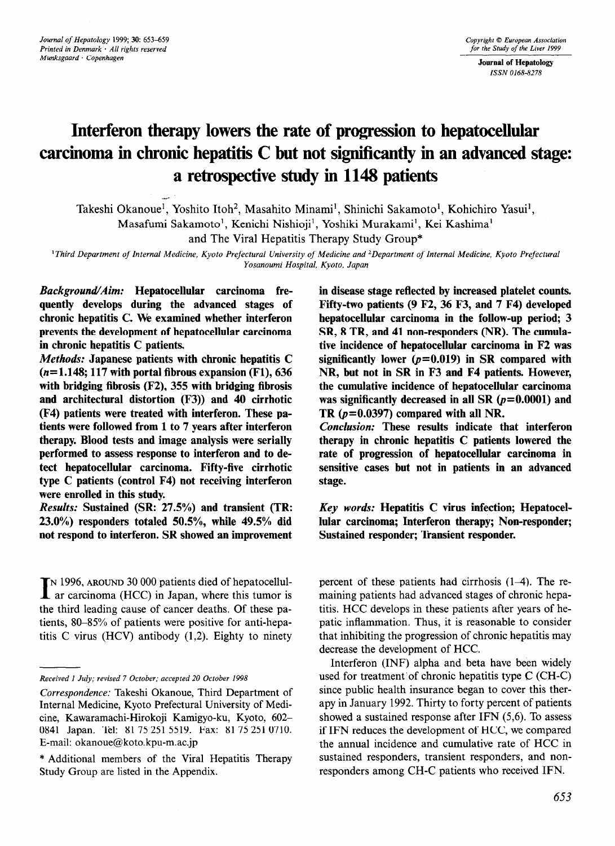Journal of Hepatology *ISSN 01684278* 

# **Interferon therapy lowers the rate of progression to hepatocellular carcinoma in chronic hepatitis C but not significantly in an advanced stage: a retrospective study in 1148 patients**

Takeshi Okanoue<sup>1</sup>, Yoshito Itoh<sup>2</sup>, Masahito Minami<sup>1</sup>, Shinichi Sakamoto<sup>1</sup>, Kohichiro Yasui<sup>1</sup>, Masafumi Sakamoto<sup>1</sup>, Kenichi Nishioji<sup>1</sup>, Yoshiki Murakami<sup>1</sup>, Kei Kashima<sup>1</sup>

and The Viral Hepatitis Therapy Study Group\*

<sup>1</sup>Third Department of Internal Medicine, Kyoto Prefectural University of Medicine and <sup>2</sup>Department of Internal Medicine, Kyoto Prefectural *Yosanoumi Hospital, Kyoto. Japan* 

*Background/Aim:* **Hepatocellular carcinoma frequently develops during the advanced stages of chronic hepatitis C. We examined whether interferon prevents the development of hepatocellular carcinoma in chronic hepatitis C patients.** 

**Methods: Japanese patients with chronic hepatitis C (n=1.148; 117 with portal fibrous expansion (Fl), 636 with bridging fibrosis (F2), 355 with bridging fibrosis and architectural distortion (F3)) and 40 cirrhotic (F4) patients were treated with interferon. These patients were followed from 1 to 7 years after interferon therapy. Blood tests and image analysis were serially performed to assess response to interferon and to detect hepatocellular carcinoma. Fifty-five cirrhotic type C patients (control F4) not receiving interferon were enrolled in this study.** 

*Results:* **Sustained (SR: 27.5%) and transient (TR: 23.0%) responders totaled 50.5%, while 49.5% did not respond to interferon. SR showed an improvement** 

I N 1996, AROUND 30 000 patients died of hepatocellular carcinoma (HCC) in Japan, where this tumor is the third leading cause of cancer deaths. Of these patients, SO-85% of patients were positive for anti-hepatitis C virus (HCV) antibody  $(1,2)$ . Eighty to ninety

**in disease stage reflected by increased platelet counts. Fifty-two patients (9 F2, 36 F3, and 7 F4) developed hepatocellular carcinoma in the follow-up period; 3 SR, 8 TR, and 41 non-responders (NR). The cumulative incidence of hepatocellular carcinoma in F2 was significantly lower (p=O.O19) in SR compared with NR, but not in SR in F3 and F4 patients. However, the cumulative incidence of hepatocellular carcinoma**  was significantly decreased in all SR  $(p=0.0001)$  and **TR (p=O.O397) compared with all NR.** 

*Conclusion:* **These results indicate that interferon therapy in chronic hepatitis C patients lowered the rate of progression of hepatocellular carcinoma in sensitive cases but not in patients in an advanced stage.** 

**Key** *words:* **Hepatitis C virus infection; Hepatocellular carcinoma; Interferon therapy; Non-responder; Sustained responder; Transient responder.** 

percent of these patients had cirrhosis  $(1-4)$ . The remaining patients had advanced stages of chronic hepatitis. HCC develops in these patients after years of hepatic inflammation. Thus, it is reasonable to consider that inhibiting the progression of chronic hepatitis may decrease the development of HCC.

Interferon (INF) alpha and beta have been widely used for treatment 'of chronic hepatitis type C (CH-C) since public health insurance began to cover this therapy in January 1992. Thirty to forty percent of patients showed a sustained response after IFN (5,6). To assess if IFN reduces the development of HCC, we compared the annual incidence and cumulative rate of HCC in sustained responders, transient responders, and nonresponders among CH-C patients who received IFN.

*Received 1 July; revised 7 October; accepted 20 October 1998* 

*Correspondence:* Takeshi Okanoue, Third Department of Internal Medicine, Kyoto Prefectural University of Medicine, Kawaramachi-Hirokoji Kamigyo-ku, Kyoto, 602- 0841 Japan. Tel: 81 75 251 5519. Fax: 81 75 2510710. E-mail: okanoue@koto.kpu-m.ac.jp

<sup>\*</sup> Additional members of the Viral Hepatitis Therapy Study Group are listed in the Appendix.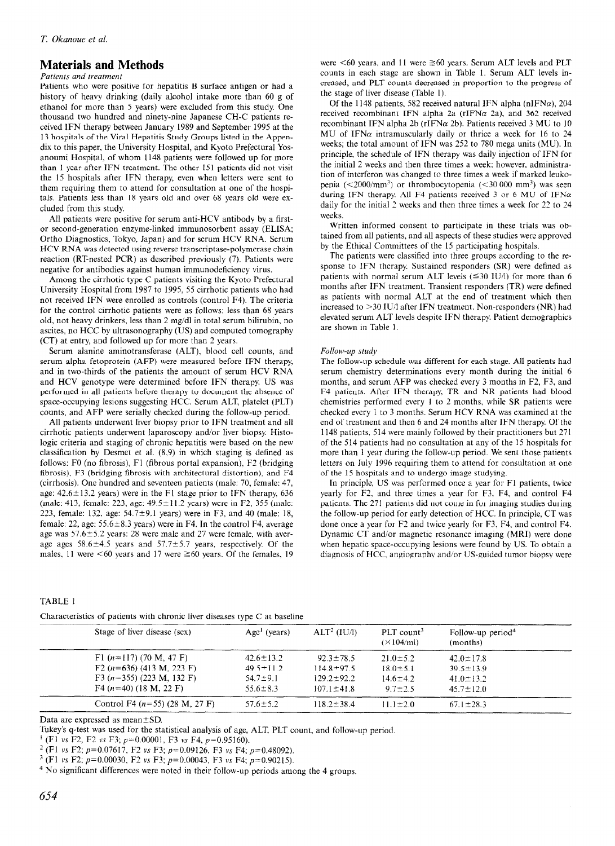# **Materials and Methods**

#### *Patients and treatment*

Patients who were positive for hepatitis B surface antigen or had a history of heavy drinking (daily alcohol intake more than 60 g of ethanol for more than 5 years) were excluded from this study. One thousand two hundred and ninety-nine Japanese CH-C patients received IFN therapy between January 1989 and September 1995 at the 13 hospitals of the Viral Hepatitis Study Groups listed in the Appendix to this paper, the University Hospital, and Kyoto Prefectural Yosanoumi Hospital, of whom 1148 patients were followed up for more than 1 year after IFN treatment. The other 151 patients did not visit the 15 hospitals after IFN therapy, even when letters were sent to them requiring them to attend for consultation at one of the hospitals. Patients less than 18 years old and over 68 years old were excluded from this study.

All patients were positive for serum anti-HCV antibody by a firstor second-generation enzyme-linked immunosorbent assay (ELISA; Ortho Diagnostics, Tokyo, Japan) and for serum HCV RNA. Serum HCV RNA was detected using reverse transcriptase-polymerase chain reaction (RT-nested PCR) as described previously (7). Patients were negative for antibodies against human immunodeficiency virus.

Among the cirrhotic type C patients visiting the Kyoto Prefectural University Hospital from 1987 to 1995, 55 cirrhotic patients who had not received IFN were enrolled as controls (control F4). The criteria for the control cirrhotic patients were as follows: less than 68 years old, not heavy drinkers, less than 2 mg/dl in total serum bilirubin, no ascites, no HCC by ultrasonography (US) and computed tomography (CT) at entry, and followed up for more than 2 years.

Serum alanine aminotransferase (ALT), blood cell counts, and serum alpha fetoprotein (AFP) were measured before IFN therapy, and in two-thirds of the patients the amount of serum HCV RNA and HCV genotype were determined before IFN therapy. US was performed in all patients before therapy to document the absence of space-occupying lesions suggesting HCC. Serum ALT, platelet (PLT) counts, and AFP were serially checked during the follow-up period.

All patients underwent liver biopsy prior to IFN treatment and all cirrhotic patients underwent laparoscopy and/or liver biopsy. Histologic criteria and staging of chronic hepatitis were based on the new classification by Desmet et al.  $(8,9)$  in which staging is defined as follows: FO (no fibrosis), Fl (fibrous portal expansion), F2 (bridging fibrosis). F3 (bridging fibrosis with architectural distortion). and F4 (cirrhosis). One hundred and seventeen patients (male: 70, female: 47, age:  $42.6 \pm 13.2$  years) were in the F1 stage prior to IFN therapy, 636 (male: 413, female: 223, age:  $49.5 \pm 11.2$  years) were in F2, 355 (male: 223, female: 132, age:  $54.7 \pm 9.1$  years) were in F3, and 40 (male: 18, female: 22, age:  $55.6\pm8.3$  years) were in F4. In the control F4, average age was  $57.6 \pm 5.2$  years: 28 were male and 27 were female, with average ages  $58.6 \pm 4.5$  years and  $57.7 \pm 5.7$  years, respectively. Of the males, 11 were  $\leq 60$  years and 17 were  $\geq 60$  years. Of the females, 19

were  $\leq 60$  years, and 11 were  $\geq 60$  years. Serum ALT levels and PLT counts in each stage are shown in Table 1. Serum ALT levels increased, and PLT counts decreased in proportion to the progress of the stage of liver disease (Table 1).

Of the 1148 patients, 582 received natural IFN alpha (nIFN $\alpha$ ), 204 received recombinant IFN alpha 2a (rIFN $\alpha$  2a), and 362 received recombinant IFN alpha 2b (rIFN $\alpha$  2b). Patients received 3 MU to 10 MU of IFN $\alpha$  intramuscularly daily or thrice a week for 16 to 24 weeks; the total amount of IFN was 252 to 780 mega units (MU). In principle. the schedule of IFN therapy was daily injection of IFN for the initial 2 weeks and then three times a week: however, administration of interferon was changed to three times a week if marked leukopenia (<2000/mm') or thrombocytopenia (<30000 mmi) was seen during IFN therapy. All F4 patients received 3 or 6 MU of IFN $\alpha$ daily for the initial 2 weeks and then three times a week for 22 to 24 weeks.

Written informed consent to participate in these trials was obtained from all patients, and all aspects of these studies were approved by the Ethical Committees of the 15 participating hospitals.

The patients were classified into three groups according to the response to IFN therapy. Sustained responders (SR) were defined as patients with normal serum ALT levels ( $\leq$ 30 IU/l) for more than 6 months after IFN treatment. Transient responders (TR) were defined as patients with normal ALT at the end of treatment which then increased to  $>$  30 IU/l after IFN treatment. Non-responders (NR) had elevated serum ALT levels despite IFN therapy. Patient demographics are shown in Table 1.

#### Follow-up study

The follow-up schedule was different for each stage. All patients had serum chemistry determinations every month during the initial 6 months, and serum AFP was checked every 3 months in F2, F3, and F4 patients. After IFN therapy, TR and NR patients had blood chemistries performed every 1 to 2 months, while SR patients were checked every 1 to 3 months. Serum HCV RNA was examined at the end of treatment and then 6 and 24 months after IFN therapy. Of the 1148 patients, 514 were mainly followed by their practitioners but 271 of the 514 patients had no consultation at any of the 15 hospitals for more than 1 year during the follow-up period. We sent those patients letters on July 1996 requiring them to attend for consultation at one of the 15 hospitals and to undergo image studying.

In principle, US was performed once a year for FI patients, twice yearly for F?, and three times a year for F3. F4. and control F4 patients. The 271 patients did not come in for imaging studies during the follow-up period for early detection of HCC. In principle, CT was done once a year for F2 and twice yearly for F3. F4, and control F4. Dynamic CT and/or magnetic resonance imaging (MRI) were done when hepatic space-occupying lesions were found by US. To obtain a diagnosis of HCC, angiography and/or US-guided tumor biopsy were

| ۰.<br>٠ | ٠ |
|---------|---|
|---------|---|

Characteristics of patients with chronic liver diseases type C at baseline

| Stage of liver disease (sex)     | $Age1$ (years)  | $ALT^2 (IU/I)$   | PLT count <sup>3</sup><br>$(\times 104$ /ml) | Follow-up period <sup>4</sup><br>(months) |  |
|----------------------------------|-----------------|------------------|----------------------------------------------|-------------------------------------------|--|
| F1 $(n=117)$ (70 M, 47 F)        | $42.6 \pm 13.2$ | $92.3 \pm 78.5$  | $21.0 \pm 5.2$                               | $42.0 \pm 17.8$                           |  |
| F2 $(n=636)$ (413 M, 223 F)      | $49.5 \pm 11.2$ | $114.8 \pm 97.5$ | $18.0 \pm 5.1$                               | $39.5 \pm 13.9$                           |  |
| F3 $(n=355)$ (223 M, 132 F)      | $54.7 \pm 9.1$  | $129.2 \pm 92.2$ | $14.6 \pm 4.2$                               | $41.0 \pm 13.2$                           |  |
| $F4(n=40)$ (18 M, 22 F)          | $55.6 \pm 8.3$  | $107.1 \pm 41.8$ | $9.7 \pm 2.5$                                | $45.7 \pm 12.0$                           |  |
| Control F4 $(n=55)$ (28 M, 27 F) | $57.6 \pm 5.2$  | $118.2 \pm 38.4$ | $11.1 \pm 2.0$                               | 67.1 $\pm$ 28.3                           |  |

Data are expressed as mean $\pm$ SD.

Tukey's q-test was used for the statistical analysis of age, ALT, PLT count, and follow-up period.

<sup>1</sup> (F1 vs F2, F2 vs F3;  $p=0.00001$ , F3 vs F4,  $p=0.95160$ ).

 $^{2}$  (F1 vs F2; p=0.07617, F2 vs F3; p=0.09126, F3 vs F4; p=0.48092).

 $3$  (F1 vs F2;  $p=0.00030$ , F2 vs F3;  $p=0.00043$ , F3 vs F4;  $p=0.90215$ ).

4 No significant differences were noted in their follow-up periods among the 4 groups.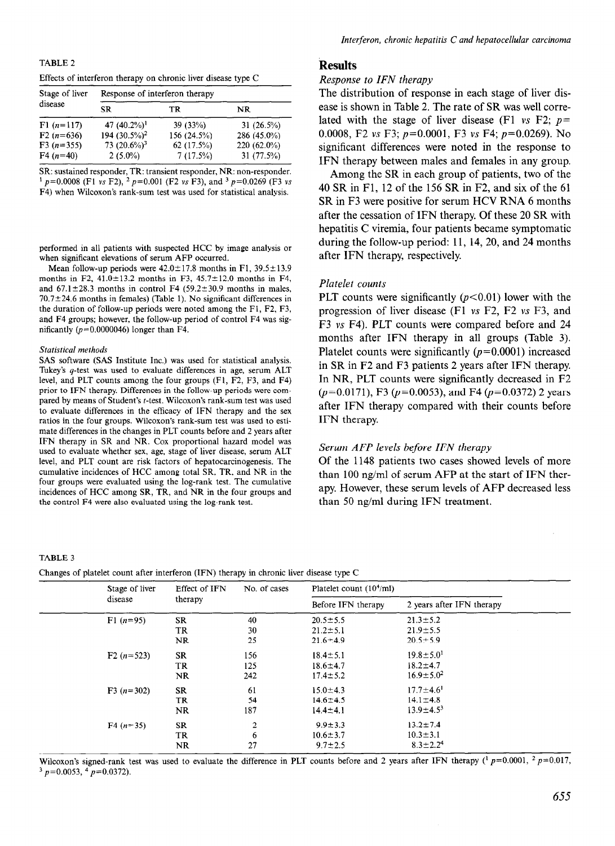TABLE 2

Effects of interferon therapy on chronic liver disease type C

| Stage of liver | Response of interferon therapy |              |               |  |  |
|----------------|--------------------------------|--------------|---------------|--|--|
| disease        | SR                             | ТR           | NR            |  |  |
| $F1(n=117)$    | 47 $(40.2\%)$ <sup>1</sup>     | 39(33%)      | 31 $(26.5\%)$ |  |  |
| $F2(n=636)$    | 194 (30.5%) <sup>2</sup>       | 156 (24.5%)  | 286 (45.0%)   |  |  |
| $F3(n=355)$    | 73 $(20.6\%)^3$                | 62 $(17.5%)$ | 220 (62.0%)   |  |  |
| $F4(n=40)$     | $2(5.0\%)$                     | $7(17.5\%)$  | $31(77.5\%)$  |  |  |

SR: sustained responder, TR: transient responder, NR: non-responder. <sup>1</sup>  $p=0.0008$  (F1 vs F2), <sup>2</sup>  $p=0.001$  (F2 vs F3), and <sup>3</sup>  $p=0.0269$  (F3 vs F4) when Wilcoxon's rank-sum test was used for statistical analysis.

performed in all patients with suspected HCC by image analysis or when significant elevations of serum AFP occurred.

Mean follow-up periods were  $42.0 \pm 17.8$  months in F1, 39.5 $\pm$ 13.9 months in F2,  $41.0 \pm 13.2$  months in F3,  $45.7 \pm 12.0$  months in F4, and  $67.1 \pm 28.3$  months in control F4 (59.2 $\pm$ 30.9 months in males,  $70.7 \pm 24.6$  months in females) (Table 1). No significant differences in the duration of follow-up periods were noted among the Fl, F2, F3, and F4 groups; however, the follow-up period of control F4 was significantly ( $p=0.0000046$ ) longer than F4.

#### *Statistical methods*

SAS software (SAS Institute Inc.) was used for statistical analysis. Tukey's q-test was used to evaluate differences in age, serum ALT level, and PLT counts among the four groups (Fl, F2, F3, and F4) prior to IFN therapy. Differences in the follow-up periods were compared by means of Student's t-test. Wilcoxon's rank-sum test was used to evaluate differences in the efficacy of IFN therapy and the sex ratios in the four groups. Wilcoxon's rank-sum test was used to estimate differences in the changes in PLT counts before and 2 years after IFN therapy in SR and NR. Cox proportional hazard model was used to evaluate whether sex, age, stage of liver disease, serum ALT level, and PLT count are risk factors of hepatocarcinogenesis. The cumulative incidences of HCC among total SR, TR, and NR in the four groups were evaluated using the log-rank test. The cumulative incidences of HCC among SR, TR, and NR in the four groups and the control F4 were also evaluated using the log-rank test.

## **Results**

## *Response to IFN therapy*

The distribution of response in each stage of liver disease is shown in Table 2. The rate of SR was well correlated with the stage of liver disease (Fl vs F2; *p=*  0.0008, F2 vs F3;  $p=0.0001$ , F3 vs F4;  $p=0.0269$ ). No significant differences were noted in the response to IFN therapy between males and females in any group.

Among the SR in each group of patients, two of the 40 SR in Fl, 12 of the 156 SR in F2, and six of the 61 SR in F3 were positive for serum HCV RNA 6 months after the cessation of IFN therapy. Of these 20 SR with hepatitis C viremia, four patients became symptomatic during the follow-up period: 11, 14, 20, and 24 months after IFN therapy, respectively.

## *Platelet counts*

PLT counts were significantly  $(p<0.01)$  lower with the progression of liver disease (Fl vs F2, F2 vs F3, and F3 vs F4). PLT counts were compared before and 24 months after IFN therapy in all groups (Table 3). Platelet counts were significantly  $(p=0.0001)$  increased in SR in F2 and F3 patients 2 years after IFN therapy. In NR, PLT counts were significantly decreased in F2  $(p=0.0171)$ , F3 ( $p=0.0053$ ), and F4 ( $p=0.0372$ ) 2 years after IFN therapy compared with their counts before IFN therapy.

#### *Serum AFP levels before IFN therapy*

Of the 1148 patients two cases showed levels of more than 100 ng/ml of serum AFP at the start of IFN therapy. However, these serum levels of AFP decreased less than 50 ng/ml during IFN treatment.

| н<br>٠ |  |
|--------|--|
|--------|--|

Changes of platelet count after interferon (IFN) therapy in chronic liver disease type C

| disease<br>therapy<br>2 years after IFN therapy<br>Before IFN therapy<br>40<br>$20.5 \pm 5.5$<br>$21.3 \pm 5.2$<br>$F1(n=95)$<br><b>SR</b><br>$21.9 \pm 5.5$<br>TR<br>30<br>$21.2 \pm 5.1$ |  |
|--------------------------------------------------------------------------------------------------------------------------------------------------------------------------------------------|--|
|                                                                                                                                                                                            |  |
|                                                                                                                                                                                            |  |
|                                                                                                                                                                                            |  |
| 25<br>$20.5 \pm 5.9$<br>NR.<br>$21.6 \pm 4.9$                                                                                                                                              |  |
| $19.8 \pm 5.0$ <sup>1</sup><br>156<br>$18.4 \pm 5.1$<br>SR.<br>$F2(n=523)$                                                                                                                 |  |
| $18.2 \pm 4.7$<br>125<br>$18.6 \pm 4.7$<br>TR                                                                                                                                              |  |
| $16.9 \pm 5.0^2$<br><b>NR</b><br>242<br>$17.4 \pm 5.2$                                                                                                                                     |  |
| $17.7 \pm 4.6$ <sup>1</sup><br>61<br>$15.0 \pm 4.3$<br><b>SR</b><br>F3 $(n=302)$                                                                                                           |  |
| $14.1 \pm 4.8$<br>54<br>$14.6 \pm 4.5$<br>TR                                                                                                                                               |  |
| $13.9 \pm 4.5^3$<br>187<br>NR.<br>$14.4 \pm 4.1$                                                                                                                                           |  |
| 2<br>$13.2 \pm 7.4$<br>$9.9 \pm 3.3$<br><b>SR</b><br>$F4(n=35)$                                                                                                                            |  |
| 6<br>$10.3 \pm 3.1$<br>$10.6 \pm 3.7$<br>TR                                                                                                                                                |  |
| $8.3 \pm 2.2^4$<br>27<br>$9.7 \pm 2.5$<br>NR                                                                                                                                               |  |

Wilcoxon's signed-rank test was used to evaluate the difference in PLT counts before and 2 years after IFN therapy  $\binom{1}{r}$   $p=0.0001$ ,  $\frac{2}{r}$   $p=0.017$ ,  $3 p=0.0053$ ,  $4 p=0.0372$ ).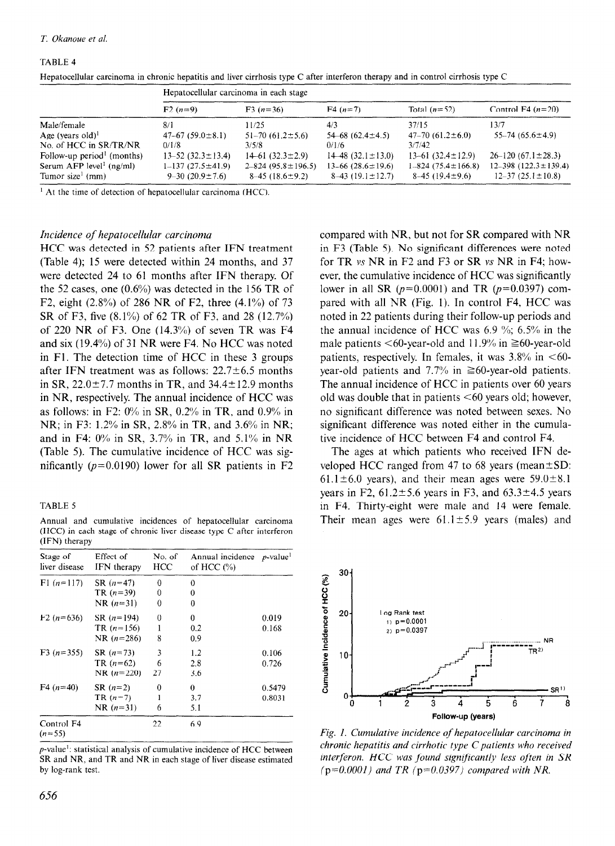## *T. Okanoue et al.*

## TABLE 4

|                                        | Hepatocellular carcinoma in each stage |                          |                            |                             |                                |
|----------------------------------------|----------------------------------------|--------------------------|----------------------------|-----------------------------|--------------------------------|
|                                        | $F2(n=9)$                              | $F3(n=36)$               | $F4(n=7)$                  | Total $(n=52)$              | Control F4 $(n=20)$            |
| Male/female                            | 8/1                                    | 11/25                    | 4/3                        | 37/15                       | 13/7                           |
| Age (years old) <sup>1</sup>           | $47-67(59.0\pm8.1)$                    | $51 - 70(61.2 \pm 5.6)$  | $54 - 68$ $(62.4 \pm 4.5)$ | $47-70(61.2\pm 6.0)$        | $55-74(65.6 \pm 4.9)$          |
| No. of HCC in SR/TR/NR                 | 0/1/8                                  | 3/5/8                    | 0/1/6                      | 3/7/42                      |                                |
| Follow-up period <sup>1</sup> (months) | $13-52$ $(32.3 \pm 13.4)$              | $14-61$ $(32.3 \pm 2.9)$ | $14-48$ $(32.1 \pm 13.0)$  | $13-61$ $(32.4 \pm 12.9)$   | $26-120(67.1\pm28.3)$          |
| Serum AFP level <sup>1</sup> (ng/ml)   | $1-137(27.5 \pm 41.9)$                 | $2 - 824$ (95.8 ± 196.5) | $13-66$ $(28.6 \pm 19.6)$  | $1-824$ (75 $4 \pm 166.8$ ) | $12 - 398$ $(122.3 \pm 139.4)$ |
| Tumor size <sup>1</sup> (mm)           | $9 - 30(20.9 \pm 7.6)$                 | $8-45(18.6\pm9.2)$       | $8-43$ (19.1 $\pm$ 12.7)   | $8-45(19.4\pm9.6)$          | $12-37(25.1 \pm 10.8)$         |

Hepatocellular carcinoma in chronic hepatitis and liver cirrhosis type C after interferon therapy and in control cirrhosis type C

<sup>1</sup> At the time of detection of hepatocellular carcinoma (HCC).

# *Incidence of hepatocellular carcinoma*

HCC was detected in 52 patients after IFN treatment (Table 4); 15 were detected within 24 months, and 37 were detected 24 to 61 months after IFN therapy. Of the 52 cases, one  $(0.6\%)$  was detected in the 156 TR of F2, eight  $(2.8\%)$  of 286 NR of F2, three  $(4.1\%)$  of 73 SR of F3, five (8.1%) of 62 TR of F3, and 28 (12.7%) of 220 NR of F3. One (14.3%) of seven TR was F4 and six (19.4%) of 31 NR were F4. No HCC was noted in Fl. The detection time of HCC in these 3 groups after IFN treatment was as follows:  $22.7 \pm 6.5$  months in SR,  $22.0 \pm 7.7$  months in TR, and  $34.4 \pm 12.9$  months in NR, respectively. The annual incidence of HCC was as follows: in F2:  $0\%$  in SR,  $0.2\%$  in TR, and  $0.9\%$  in NR; in F3: 1.2% in SR, 2.8% in TR, and 3.6% in NR; and in F4: 0% in SR, 3.7% in TR, and 5.1% in NR (Table 5). The cumulative incidence of HCC was significantly ( $p=0.0190$ ) lower for all SR patients in F2

#### TABLE 5

Annual and cumulative incidences of hepatocellular carcinoma (HCC) in each stage of chronic liver disease type C after interferon (IFN) therapy

| Stage of<br>liver disease | Effect of<br>IFN therapy                   | No of<br>HCC  | Annual incidence $p$ -value <sup>1</sup><br>of HCC $(\%)$ |                  |
|---------------------------|--------------------------------------------|---------------|-----------------------------------------------------------|------------------|
| $F1(n=117)$               | $SR(n=47)$<br>TR $(n=39)$<br>$NR(n=31)$    | 0<br>0<br>0   | 0<br>0<br>0                                               |                  |
| F2 $(n=636)$              | $SR(n=194)$<br>$TR (n=156)$<br>$NR(n=286)$ | $\Omega$<br>8 | 0<br>0.2<br>0.9                                           | 0.019<br>0.168   |
| F3 $(n=355)$              | $SR(n=73)$<br>TR $(n=62)$<br>$NR(n=220)$   | 3<br>6<br>27  | 1.2<br>2.8<br>3.6                                         | 0.106<br>0.726   |
| $F4(n=40)$                | $SR(n=2)$<br>$TR (n=7)$<br>$NR (n=31)$     | 0<br>6        | 0<br>3.7<br>5.1                                           | 0.5479<br>0.8031 |
| Control F4<br>$(n=55)$    |                                            | 22            | 6.9                                                       |                  |

 $p$ -value<sup>1</sup>: statistical analysis of cumulative incidence of HCC between SR and NR, and TR and NR in each stage of liver disease estimated by log-rank test.

compared with NR, but not for SR compared with NR in F3 (Table 5). No significant differences were noted for TR  $vs$  NR in F2 and F3 or SR  $vs$  NR in F4; however, the cumulative incidence of HCC was significantly lower in all SR  $(p=0.0001)$  and TR  $(p=0.0397)$  compared with all NR (Fig. 1). In control F4, HCC was noted in 22 patients during their follow-up periods and the annual incidence of HCC was  $6.9\%$ ;  $6.5\%$  in the male patients  $<60$ -year-old and 11.9% in  $\geq 60$ -year-old patients, respectively. In females, it was  $3.8\%$  in  $\leq 60$ year-old patients and 7.7% in  $\geq 60$ -year-old patients. The annual incidence of HCC in patients over 60 years old was double that in patients  $<60$  years old; however, no significant difference was noted between sexes. No significant difference was noted either in the cumulative incidence of HCC between F4 and control F4.

The ages at which patients who received IFN developed HCC ranged from 47 to 68 years (mean $\pm$ SD: 61.1 $\pm$ 6.0 years), and their mean ages were 59.0 $\pm$ 8.1 years in F2,  $61.2 \pm 5.6$  years in F3, and  $63.3 \pm 4.5$  years in F4. Thirty-eight were male and 14 were female. Their mean ages were  $61.1 \pm 5.9$  years (males) and



*Fig. 1. Cumulative incidence of heputocellular carcinoma in chronic hepatitis and cirrhotic type* C patients *who received interferon. HCC was found significantly less often in SR*  $(p=0.0001)$  and TR ( $p=0.0397$ ) compared with NR.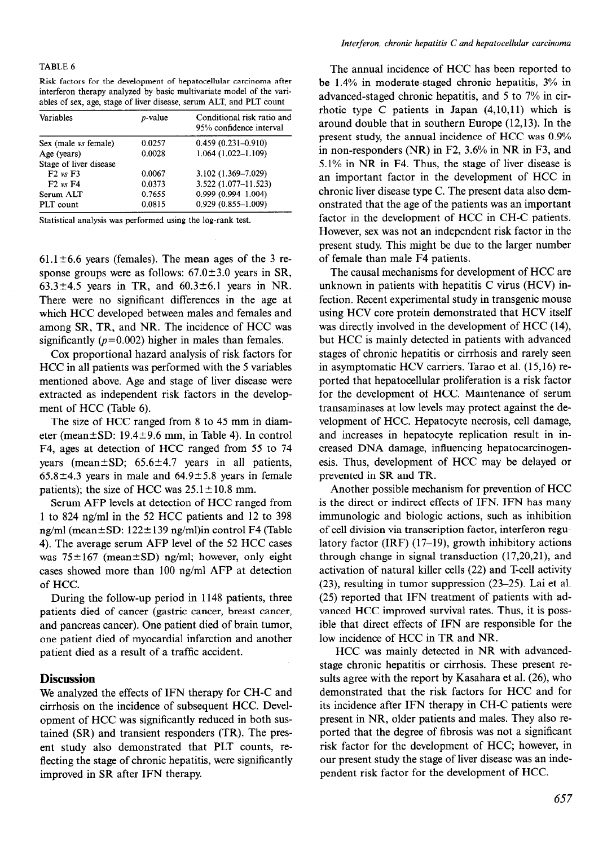#### TABLE 6

Risk factors for the development of hepatocellular carcinoma after interferon therapy analyzed by basic multivariate model of the variables of sex, age, stage of liver disease, serum ALT, and PLT count

| Variables              | <i>p</i> -value | Conditional risk ratio and<br>95% confidence interval |
|------------------------|-----------------|-------------------------------------------------------|
| Sex (male vs female)   | 0.0257          | $0.459(0.231 - 0.910)$                                |
| Age (years)            | 0.0028          | 1.064 (1.022-1.109)                                   |
| Stage of liver disease |                 |                                                       |
| $F2$ vs $F3$           | 0.0067          | 3.102 (1.369-7.029)                                   |
| $F2$ vs $F4$           | 0.0373          | 3.522 (1.077-11.523)                                  |
| Serum ALT              | 0.7655          | $0.999(0.994 - 1.004)$                                |
| PLT count              | 0.0815          | $0.929(0.855 - 1.009)$                                |

Statistical analysis was performed using the log-rank test.

 $61.1 \pm 6.6$  years (females). The mean ages of the 3 response groups were as follows:  $67.0 \pm 3.0$  years in SR, 63.3 $\pm$ 4.5 years in TR, and 60.3 $\pm$ 6.1 years in NR. There were no significant differences in the age at which HCC developed between males and females and among SR, TR, and NR. The incidence of HCC was significantly  $(p=0.002)$  higher in males than females.

Cox proportional hazard analysis of risk factors for HCC in all patients was performed with the 5 variables mentioned above. Age and stage of liver disease were extracted as independent risk factors in the development of HCC (Table 6).

The size of HCC ranged from 8 to 45 mm in diameter (mean $\pm$ SD: 19.4 $\pm$ 9.6 mm, in Table 4). In control F4, ages at detection of HCC ranged from 55 to 74 years (mean $\pm$ SD; 65.6 $\pm$ 4.7 years in all patients,  $65.8 \pm 4.3$  years in male and  $64.9 \pm 5.8$  years in female patients); the size of HCC was  $25.1 \pm 10.8$  mm.

Serum AFP levels at detection of HCC ranged from 1 to 824 ng/ml in the 52 HCC patients and 12 to 398 ng/ml (mean $\pm$ SD: 122 $\pm$ 139 ng/ml)in control F4 (Table 4). The average serum AFP level of the 52 HCC cases was  $75\pm 167$  (mean $\pm$ SD) ng/ml; however, only eight cases showed more than 100 ng/ml AFP at detection of HCC.

During the follow-up period in 1148 patients, three patients died of cancer (gastric cancer, breast cancer, and pancreas cancer). One patient died of brain tumor, one patient died of myocardial infarction and another patient died as a result of a traffic accident.

# **Discussion**

We analyzed the effects of IFN therapy for CH-C and cirrhosis on the incidence of subsequent HCC. Development of HCC was significantly reduced in both sustained (SR) and transient responders (TR). The present study also demonstrated that PLT counts, reflecting the stage of chronic hepatitis, were significantly improved in SR after IFN therapy.

The annual incidence of HCC has been reported to be 1.4% in moderate-staged chronic hepatitis, 3% in advanced-staged chronic hepatitis, and 5 to 7% in cirrhotic type C patients in Japan (4,10,11) which is around double that in southern Europe (12,13). In the present study, the annual incidence of HCC was 0.9% in non-responders (NR) in F2, 3.6% in NR in F3, and 5.1% in NR in F4. Thus, the stage of liver disease is an important factor in the development of HCC in chronic liver disease type C. The present data also demonstrated that the age of the patients was an important factor in the development of HCC in CH-C patients. However, sex was not an independent risk factor in the present study. This might be due to the larger number of female than male F4 patients.

The causal mechanisms for development of HCC are unknown in patients with hepatitis C virus (HCV) infection. Recent experimental study in transgenic mouse using HCV core protein demonstrated that HCV itself was directly involved in the development of HCC (14), but HCC is mainly detected in patients with advanced stages of chronic hepatitis or cirrhosis and rarely seen in asymptomatic HCV carriers. Tarao et al. (15,16) reported that hepatocellular proliferation is a risk factor for the development of HCC. Maintenance of serum transaminases at low levels may protect against the development of HCC. Hepatocyte necrosis, cell damage, and increases in hepatocyte replication result in increased DNA damage, influencing hepatocarcinogenesis. Thus, development of HCC may be delayed or prevented in SR and TR.

Another possible mechanism for prevention of HCC is the direct or indirect effects of IFN. IFN has many immunologic and biologic actions, such as inhibition of cell division via transcription factor, interferon regulatory factor (IRF) (17-19), growth inhibitory actions through change in signal transduction (17,20,21), and activation of natural killer cells (22) and T-cell activity (23), resulting in tumor suppression (23-25). Lai et al. (25) reported that IFN treatment of patients with advanced HCC improved survival rates. Thus, it is possible that direct effects of IFN are responsible for the low incidence of HCC in TR and NR.

HCC was mainly detected in NR with advancedstage chronic hepatitis or cirrhosis. These present results agree with the report by Kasahara et al. (26), who demonstrated that the risk factors for HCC and for its incidence after IFN therapy in CH-C patients were present in NR, older patients and males. They also reported that the degree of fibrosis was not a significant risk factor for the development of HCC; however, in our present study the stage of liver disease was an independent risk factor for the development of HCC.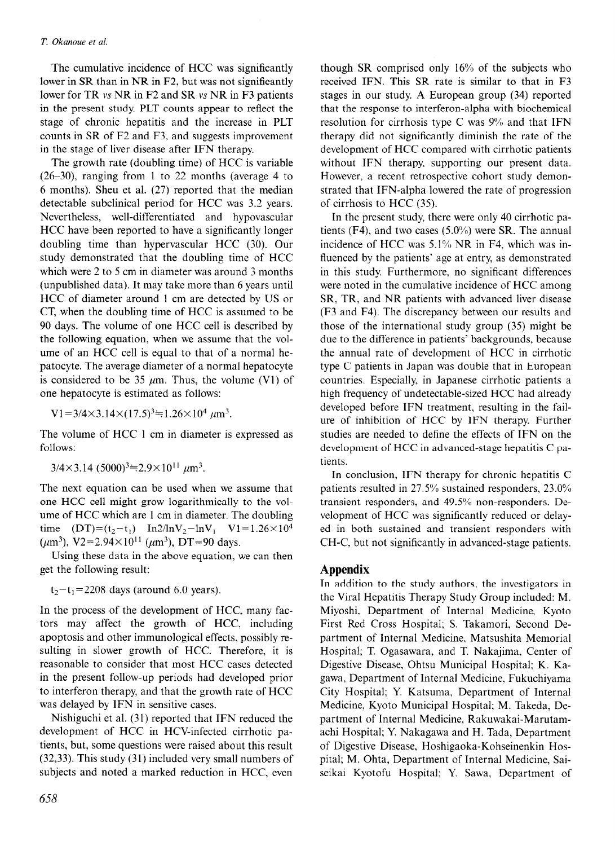# *T. Okanoue et* al.

The cumulative incidence of HCC was significantly lower in SR than in NR in F2, but was not significantly lower for TR vs NR in F2 and SR vs NR in F3 patients in the present study. PLT counts appear to reflect the stage of chronic hepatitis and the increase in PLT counts in SR of F2 and F3, and suggests improvement in the stage of liver disease after IFN therapy.

The growth rate (doubling time) of HCC is variable (26-30), ranging from 1 to 22 months (average 4 to 6 months). Sheu et al. (27) reported that the median detectable subclinical period for HCC was 3.2 years. Nevertheless, well-differentiated and hypovascular HCC have been reported to have a significantly longer doubling time than hypervascular HCC (30). Our study demonstrated that the doubling time of HCC which were 2 to 5 cm in diameter was around 3 months (unpublished data). It may take more than 6 years until HCC of diameter around 1 cm are detected by US or CT, when the doubling time of HCC is assumed to be 90 days. The volume of one HCC cell is described by the following equation, when we assume that the volume of an HCC cell is equal to that of a normal hepatocyte. The average diameter of a normal hepatocyte is considered to be 35  $\mu$ m. Thus, the volume (V1) of one hepatocyte is estimated as follows:

V1=3/4×3.14×(17.5)<sup>3</sup>=1.26×10<sup>4</sup>  $\mu$ m<sup>3</sup>.

The volume of HCC 1 cm in diameter is expressed as follows:

 $3/4 \times 3.14$  (5000)<sup>3</sup> $\approx 2.9 \times 10^{11}$   $\mu$ m<sup>3</sup>.

The next equation can be used when we assume that one HCC cell might grow logarithmically to the volume of HCC which are 1 cm in diameter. The doubling time  $(DT)=(t_2-t_1)$  In2/lnV<sub>2</sub>-lnV<sub>1</sub> V1=1.26×10<sup>4</sup>  $(\mu m^3)$ , V2=2.94×10<sup>11</sup> ( $\mu$ m<sup>3</sup>), DT=90 days.

Using these data in the above equation, we can then get the following result:

 $t_2-t_1 = 2208$  days (around 6.0 years).

In the process of the development of HCC, many factors may affect the growth of HCC, including apoptosis and other immunological effects, possibly resulting in slower growth of HCC. Therefore, it is reasonable to consider that most HCC cases detected in the present follow-up periods had developed prior to interferon therapy, and that the growth rate of HCC was delayed by IFN in sensitive cases.

Nishiguchi et al. (31) reported that IFN reduced the development of HCC in HCV-infected cirrhotic patients, but, some questions were raised about this result  $(32,33)$ . This study  $(31)$  included very small numbers of subjects and noted a marked reduction in HCC, even

though SR comprised only 16% of the subjects who received IFN. This SR rate is similar to that in F3 stages in our study. A European group (34) reported that the response to interferon-alpha with biochemical resolution for cirrhosis type C was  $9\%$  and that IFN therapy did not significantly diminish the rate of the development of HCC compared with cirrhotic patients without IFN therapy, supporting our present data. However, a recent retrospective cohort study demonstrated that JFN-alpha lowered the rate of progression of cirrhosis to HCC (35).

In the present study, there were only 40 cirrhotic patients (F4), and two cases  $(5.0\%)$  were SR. The annual incidence of HCC was 5.1% NR in F4, which was influenced by the patients' age at entry, as demonstrated in this study. Furthermore, no significant differences were noted in the cumulative incidence of HCC among SR, TR, and NR patients with advanced liver disease (F3 and F4). The discrepancy between our results and those of the international study group (35) might be due to the difference in patients' backgrounds, because the annual rate of development of HCC in cirrhotic type C patients in Japan was double that in European countries. Especially, in Japanese cirrhotic patients a high frequency of undetectable-sized HCC had already developed before IFN treatment, resulting in the failure of inhibition of HCC by IFN therapy. Further studies are needed to define the effects of IFN on the development of HCC in advanced-stage hepatitis C patients.

In conclusion, IFN therapy for chronic hepatitis C patients resulted in 27.5% sustained responders, 23.0% transient responders, and 49.5%) non-responders. Development of HCC was significantly reduced or delayed in both sustained and transient responders with CH-C, but not significantly in advanced-stage patients.

# **Appendix**

In addition to the study authors, the investigators in the Viral Hepatitis Therapy Study Group included: M. Miyoshi, Department of Internal Medicine. Kyoto First Red Cross Hospital; S. Takamori, Second Department of Internal Medicine, Matsushita Memorial Hospital; T. Ogasawara, and T. Nakajima, Center of Digestive Disease, Ohtsu Municipal Hospital; K. Kagawa, Department of Internal Medicine, Fukuchiyama City Hospital; Y. Katsuma, Department of Internal Medicine, Kyoto Municipal Hospital; M. Takeda, Department of Internal Medicine, Rakuwakai-Marutamachi Hospital; Y. Nakagawa and H. Tada, Department of Digestive Disease, Hoshigaoka-Kohseinenkin Hospital; M. Ohta, Department of Internal Medicine, Saiseikai Kyotofu Hospital: Y. Sawa, Department of